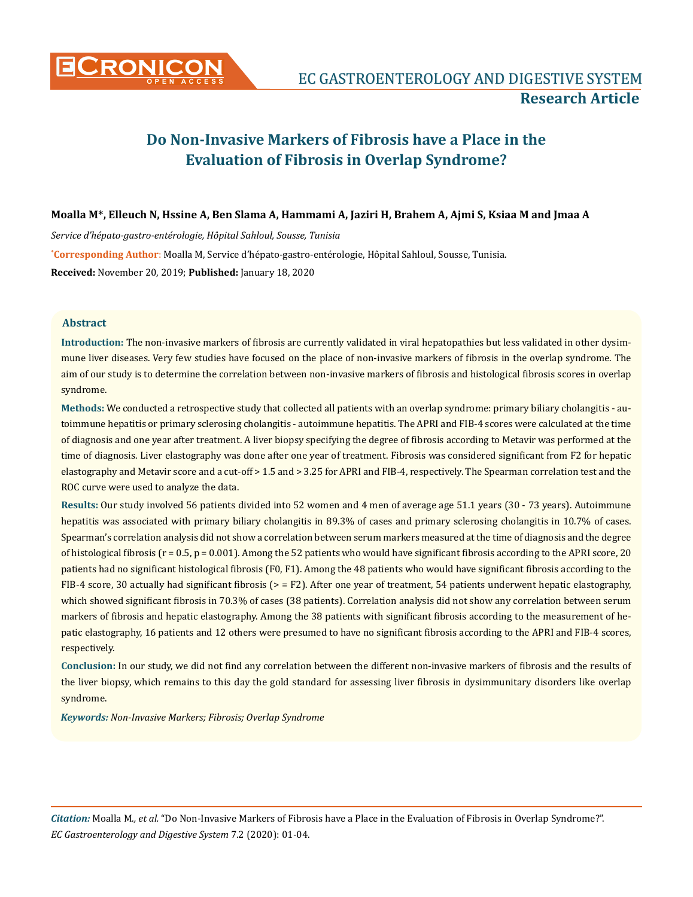

# **Do Non-Invasive Markers of Fibrosis have a Place in the Evaluation of Fibrosis in Overlap Syndrome?**

# **Moalla M\*, Elleuch N, Hssine A, Ben Slama A, Hammami A, Jaziri H, Brahem A, Ajmi S, Ksiaa M and Jmaa A**

*Service d'hépato-gastro-entérologie, Hôpital Sahloul, Sousse, Tunisia*

**\* Corresponding Author**: Moalla M, Service d'hépato-gastro-entérologie, Hôpital Sahloul, Sousse, Tunisia.

**Received:** November 20, 2019; **Published:** January 18, 2020

## **Abstract**

**Introduction:** The non-invasive markers of fibrosis are currently validated in viral hepatopathies but less validated in other dysimmune liver diseases. Very few studies have focused on the place of non-invasive markers of fibrosis in the overlap syndrome. The aim of our study is to determine the correlation between non-invasive markers of fibrosis and histological fibrosis scores in overlap syndrome.

**Methods:** We conducted a retrospective study that collected all patients with an overlap syndrome: primary biliary cholangitis - autoimmune hepatitis or primary sclerosing cholangitis - autoimmune hepatitis. The APRI and FIB-4 scores were calculated at the time of diagnosis and one year after treatment. A liver biopsy specifying the degree of fibrosis according to Metavir was performed at the time of diagnosis. Liver elastography was done after one year of treatment. Fibrosis was considered significant from F2 for hepatic elastography and Metavir score and a cut-off > 1.5 and > 3.25 for APRI and FIB-4, respectively. The Spearman correlation test and the ROC curve were used to analyze the data.

**Results:** Our study involved 56 patients divided into 52 women and 4 men of average age 51.1 years (30 - 73 years). Autoimmune hepatitis was associated with primary biliary cholangitis in 89.3% of cases and primary sclerosing cholangitis in 10.7% of cases. Spearman's correlation analysis did not show a correlation between serum markers measured at the time of diagnosis and the degree of histological fibrosis ( $r = 0.5$ ,  $p = 0.001$ ). Among the 52 patients who would have significant fibrosis according to the APRI score, 20 patients had no significant histological fibrosis (F0, F1). Among the 48 patients who would have significant fibrosis according to the FIB-4 score, 30 actually had significant fibrosis ( $>$  = F2). After one year of treatment, 54 patients underwent hepatic elastography, which showed significant fibrosis in 70.3% of cases (38 patients). Correlation analysis did not show any correlation between serum markers of fibrosis and hepatic elastography. Among the 38 patients with significant fibrosis according to the measurement of hepatic elastography, 16 patients and 12 others were presumed to have no significant fibrosis according to the APRI and FIB-4 scores, respectively.

**Conclusion:** In our study, we did not find any correlation between the different non-invasive markers of fibrosis and the results of the liver biopsy, which remains to this day the gold standard for assessing liver fibrosis in dysimmunitary disorders like overlap syndrome.

*Keywords: Non-Invasive Markers; Fibrosis; Overlap Syndrome*

*Citation:* Moalla M*., et al.* "Do Non-Invasive Markers of Fibrosis have a Place in the Evaluation of Fibrosis in Overlap Syndrome?". *EC Gastroenterology and Digestive System* 7.2 (2020): 01-04.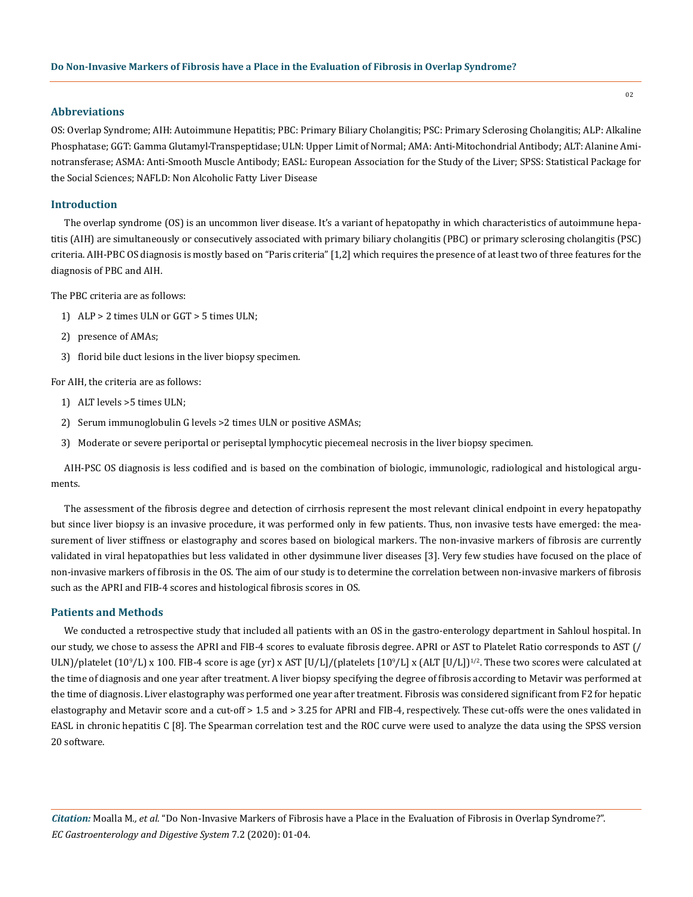## **Abbreviations**

OS: Overlap Syndrome; AIH: Autoimmune Hepatitis; PBC: Primary Biliary Cholangitis; PSC: Primary Sclerosing Cholangitis; ALP: Alkaline Phosphatase; GGT: Gamma Glutamyl-Transpeptidase; ULN: Upper Limit of Normal; AMA: Anti-Mitochondrial Antibody; ALT: Alanine Aminotransferase; ASMA: Anti-Smooth Muscle Antibody; EASL: European Association for the Study of the Liver; SPSS: Statistical Package for the Social Sciences; NAFLD: Non Alcoholic Fatty Liver Disease

## **Introduction**

The overlap syndrome (OS) is an uncommon liver disease. It's a variant of hepatopathy in which characteristics of autoimmune hepatitis (AIH) are simultaneously or consecutively associated with primary biliary cholangitis (PBC) or primary sclerosing cholangitis (PSC) criteria. AIH-PBC OS diagnosis is mostly based on "Paris criteria" [1,2] which requires the presence of at least two of three features for the diagnosis of PBC and AIH.

The PBC criteria are as follows:

- 1) ALP > 2 times ULN or GGT > 5 times ULN;
- 2) presence of AMAs;
- 3) florid bile duct lesions in the liver biopsy specimen.

For AIH, the criteria are as follows:

- 1) ALT levels >5 times ULN;
- 2) Serum immunoglobulin G levels >2 times ULN or positive ASMAs;
- 3) Moderate or severe periportal or periseptal lymphocytic piecemeal necrosis in the liver biopsy specimen.

AIH-PSC OS diagnosis is less codified and is based on the combination of biologic, immunologic, radiological and histological arguments.

The assessment of the fibrosis degree and detection of cirrhosis represent the most relevant clinical endpoint in every hepatopathy but since liver biopsy is an invasive procedure, it was performed only in few patients. Thus, non invasive tests have emerged: the measurement of liver stiffness or elastography and scores based on biological markers. The non-invasive markers of fibrosis are currently validated in viral hepatopathies but less validated in other dysimmune liver diseases [3]. Very few studies have focused on the place of non-invasive markers of fibrosis in the OS. The aim of our study is to determine the correlation between non-invasive markers of fibrosis such as the APRI and FIB-4 scores and histological fibrosis scores in OS.

#### **Patients and Methods**

We conducted a retrospective study that included all patients with an OS in the gastro-enterology department in Sahloul hospital. In our study, we chose to assess the APRI and FIB-4 scores to evaluate fibrosis degree. APRI or AST to Platelet Ratio corresponds to AST (/  $ULN$ /platelet (10°/L) x 100. FIB-4 score is age (yr) x AST [U/L]/(platelets [10°/L] x (ALT [U/L])<sup>1/2</sup>. These two scores were calculated at the time of diagnosis and one year after treatment. A liver biopsy specifying the degree of fibrosis according to Metavir was performed at the time of diagnosis. Liver elastography was performed one year after treatment. Fibrosis was considered significant from F2 for hepatic elastography and Metavir score and a cut-off > 1.5 and > 3.25 for APRI and FIB-4, respectively. These cut-offs were the ones validated in EASL in chronic hepatitis C [8]. The Spearman correlation test and the ROC curve were used to analyze the data using the SPSS version 20 software.

02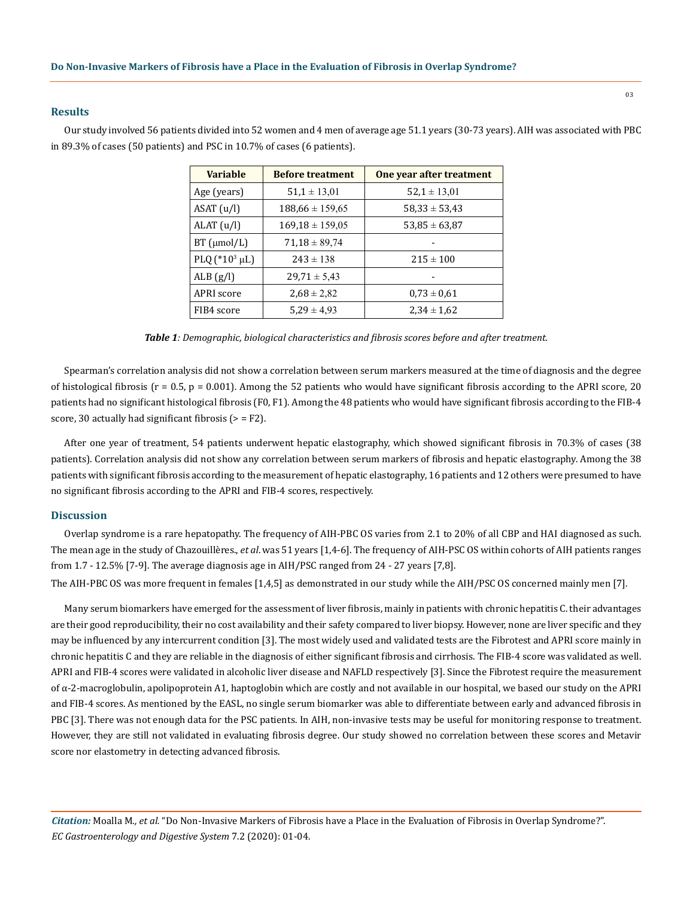## **Results**

**Variable Before treatment One year after treatment** Age (years)  $\begin{array}{|l|} 51,1 \pm 13,01 \end{array}$  52,1  $\pm 13,01$ ASAT  $(u/l)$  188,66 ± 159,65 58,33 ± 53,43 ALAT  $(u/l)$  169,18 ± 159,05 53,85 ± 63,87 BT ( $\mu$ mol/L) | 71,18 ± 89,74 PLQ (\*10<sup>3</sup> μL) 243 ± 138 215 ± 100 ALB  $(g/I)$   $29,71 \pm 5,43$  -APRI score  $2,68 \pm 2,82$  0,73  $\pm$  0,61 FIB4 score  $\Big|$  5,29 ± 4,93 2,34 ± 1,62

Our study involved 56 patients divided into 52 women and 4 men of average age 51.1 years (30-73 years). AIH was associated with PBC in 89.3% of cases (50 patients) and PSC in 10.7% of cases (6 patients).

*Table 1: Demographic, biological characteristics and fibrosis scores before and after treatment.*

Spearman's correlation analysis did not show a correlation between serum markers measured at the time of diagnosis and the degree of histological fibrosis ( $r = 0.5$ ,  $p = 0.001$ ). Among the 52 patients who would have significant fibrosis according to the APRI score, 20 patients had no significant histological fibrosis (F0, F1). Among the 48 patients who would have significant fibrosis according to the FIB-4 score, 30 actually had significant fibrosis  $(>=$  F2 $).$ 

After one year of treatment, 54 patients underwent hepatic elastography, which showed significant fibrosis in 70.3% of cases (38 patients). Correlation analysis did not show any correlation between serum markers of fibrosis and hepatic elastography. Among the 38 patients with significant fibrosis according to the measurement of hepatic elastography, 16 patients and 12 others were presumed to have no significant fibrosis according to the APRI and FIB-4 scores, respectively.

## **Discussion**

Overlap syndrome is a rare hepatopathy. The frequency of AIH-PBC OS varies from 2.1 to 20% of all CBP and HAI diagnosed as such. The mean age in the study of Chazouillères., *et al*. was 51 years [1,4-6]. The frequency of AIH-PSC OS within cohorts of AIH patients ranges from 1.7 - 12.5% [7-9]. The average diagnosis age in AIH/PSC ranged from 24 - 27 years [7,8].

The AIH-PBC OS was more frequent in females [1,4,5] as demonstrated in our study while the AIH/PSC OS concerned mainly men [7].

Many serum biomarkers have emerged for the assessment of liver fibrosis, mainly in patients with chronic hepatitis C. their advantages are their good reproducibility, their no cost availability and their safety compared to liver biopsy. However, none are liver specific and they may be influenced by any intercurrent condition [3]. The most widely used and validated tests are the Fibrotest and APRI score mainly in chronic hepatitis C and they are reliable in the diagnosis of either significant fibrosis and cirrhosis. The FIB-4 score was validated as well. APRI and FIB-4 scores were validated in alcoholic liver disease and NAFLD respectively [3]. Since the Fibrotest require the measurement of α-2-macroglobulin, apolipoprotein A1, haptoglobin which are costly and not available in our hospital, we based our study on the APRI and FIB-4 scores. As mentioned by the EASL, no single serum biomarker was able to differentiate between early and advanced fibrosis in PBC [3]. There was not enough data for the PSC patients. In AIH, non-invasive tests may be useful for monitoring response to treatment. However, they are still not validated in evaluating fibrosis degree. Our study showed no correlation between these scores and Metavir score nor elastometry in detecting advanced fibrosis.

*Citation:* Moalla M*., et al.* "Do Non-Invasive Markers of Fibrosis have a Place in the Evaluation of Fibrosis in Overlap Syndrome?". *EC Gastroenterology and Digestive System* 7.2 (2020): 01-04.